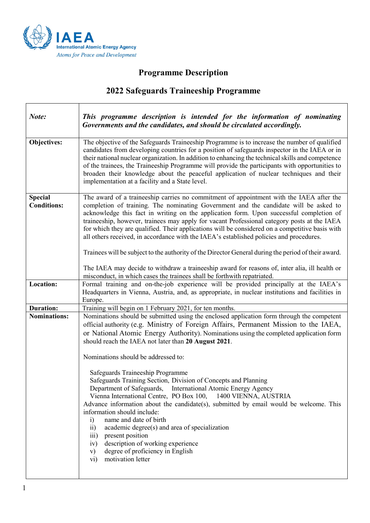

┑

 $\sqrt{ }$ 

## **Programme Description**

## **2022 Safeguards Traineeship Programme**

| Note:                                | This programme description is intended for the information of nominating<br>Governments and the candidates, and should be circulated accordingly.                                                                                                                                                                                                                                                                                                                                                                                                                                                                                                                              |
|--------------------------------------|--------------------------------------------------------------------------------------------------------------------------------------------------------------------------------------------------------------------------------------------------------------------------------------------------------------------------------------------------------------------------------------------------------------------------------------------------------------------------------------------------------------------------------------------------------------------------------------------------------------------------------------------------------------------------------|
| Objectives:                          | The objective of the Safeguards Traineeship Programme is to increase the number of qualified<br>candidates from developing countries for a position of safeguards inspector in the IAEA or in<br>their national nuclear organization. In addition to enhancing the technical skills and competence<br>of the trainees, the Traineeship Programme will provide the participants with opportunities to<br>broaden their knowledge about the peaceful application of nuclear techniques and their<br>implementation at a facility and a State level.                                                                                                                              |
| <b>Special</b><br><b>Conditions:</b> | The award of a traineeship carries no commitment of appointment with the IAEA after the<br>completion of training. The nominating Government and the candidate will be asked to<br>acknowledge this fact in writing on the application form. Upon successful completion of<br>traineeship, however, trainees may apply for vacant Professional category posts at the IAEA<br>for which they are qualified. Their applications will be considered on a competitive basis with<br>all others received, in accordance with the IAEA's established policies and procedures.<br>Trainees will be subject to the authority of the Director General during the period of their award. |
|                                      | The IAEA may decide to withdraw a traineeship award for reasons of, inter alia, ill health or<br>misconduct, in which cases the trainees shall be forthwith repatriated.                                                                                                                                                                                                                                                                                                                                                                                                                                                                                                       |
| Location:                            | Formal training and on-the-job experience will be provided principally at the IAEA's<br>Headquarters in Vienna, Austria, and, as appropriate, in nuclear institutions and facilities in<br>Europe.                                                                                                                                                                                                                                                                                                                                                                                                                                                                             |
| <b>Duration:</b>                     | Training will begin on 1 February 2021, for ten months.                                                                                                                                                                                                                                                                                                                                                                                                                                                                                                                                                                                                                        |
| <b>Nominations:</b>                  | Nominations should be submitted using the enclosed application form through the competent<br>official authority (e.g. Ministry of Foreign Affairs, Permanent Mission to the IAEA,<br>or National Atomic Energy Authority). Nominations using the completed application form<br>should reach the IAEA not later than 20 August 2021.<br>Nominations should be addressed to:                                                                                                                                                                                                                                                                                                     |
|                                      | Safeguards Traineeship Programme<br>Safeguards Training Section, Division of Concepts and Planning<br>Department of Safeguards, International Atomic Energy Agency<br>Vienna International Centre, PO Box 100,<br>1400 VIENNA, AUSTRIA<br>Advance information about the candidate(s), submitted by email would be welcome. This<br>information should include:<br>name and date of birth<br>$\ddot{1}$<br>academic degree(s) and area of specialization<br>$\overline{11}$<br>present position<br>$\overline{111}$ )<br>description of working experience<br>iv)<br>degree of proficiency in English<br>V)<br>motivation letter<br>$\overline{vi}$                             |